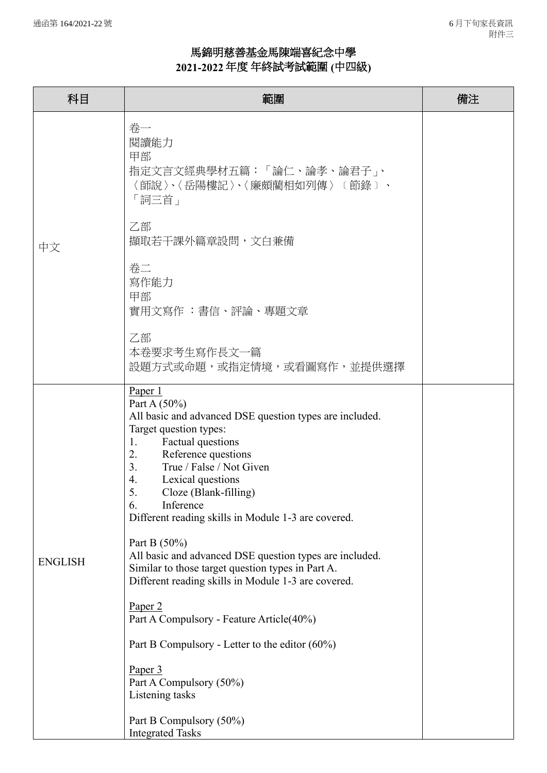## 馬錦明慈善基金馬陳端喜紀念中學 **2021-2022** 年度 年終試考試範圍 **(**中四級**)**

| 科目             | 範圍                                                                                                                                                                                                                                                                                                                                                                                                                                                                                                                                                                                                                                                                                                                                                                            | 備注 |
|----------------|-------------------------------------------------------------------------------------------------------------------------------------------------------------------------------------------------------------------------------------------------------------------------------------------------------------------------------------------------------------------------------------------------------------------------------------------------------------------------------------------------------------------------------------------------------------------------------------------------------------------------------------------------------------------------------------------------------------------------------------------------------------------------------|----|
|                | 卷一<br>閱讀能力<br>甲部<br>指定文言文經典學材五篇:「論仁、論孝、論君子」、<br>〈師說〉、〈岳陽樓記〉、〈廉頗藺相如列傳〉〔節錄〕、<br>「詞三首」                                                                                                                                                                                                                                                                                                                                                                                                                                                                                                                                                                                                                                                                                           |    |
| 中文             | 乙部<br>擷取若干課外篇章設問,文白兼備                                                                                                                                                                                                                                                                                                                                                                                                                                                                                                                                                                                                                                                                                                                                                         |    |
|                | 卷二<br>寫作能力<br>甲部<br>實用文寫作 :書信、評論、專題文章                                                                                                                                                                                                                                                                                                                                                                                                                                                                                                                                                                                                                                                                                                                                         |    |
|                | 乙部<br>本卷要求考生寫作長文一篇<br>設題方式或命題,或指定情境,或看圖寫作,並提供選擇                                                                                                                                                                                                                                                                                                                                                                                                                                                                                                                                                                                                                                                                                                                               |    |
| <b>ENGLISH</b> | Paper 1<br>Part A $(50\%)$<br>All basic and advanced DSE question types are included.<br>Target question types:<br>Factual questions<br>1.<br>Reference questions<br>2.<br>3.<br>True / False / Not Given<br>Lexical questions<br>4.<br>5.<br>Cloze (Blank-filling)<br>Inference<br>6.<br>Different reading skills in Module 1-3 are covered.<br>Part B $(50\%)$<br>All basic and advanced DSE question types are included.<br>Similar to those target question types in Part A.<br>Different reading skills in Module 1-3 are covered.<br>Paper <sub>2</sub><br>Part A Compulsory - Feature Article(40%)<br>Part B Compulsory - Letter to the editor $(60\%)$<br>Paper 3<br>Part A Compulsory (50%)<br>Listening tasks<br>Part B Compulsory (50%)<br><b>Integrated Tasks</b> |    |